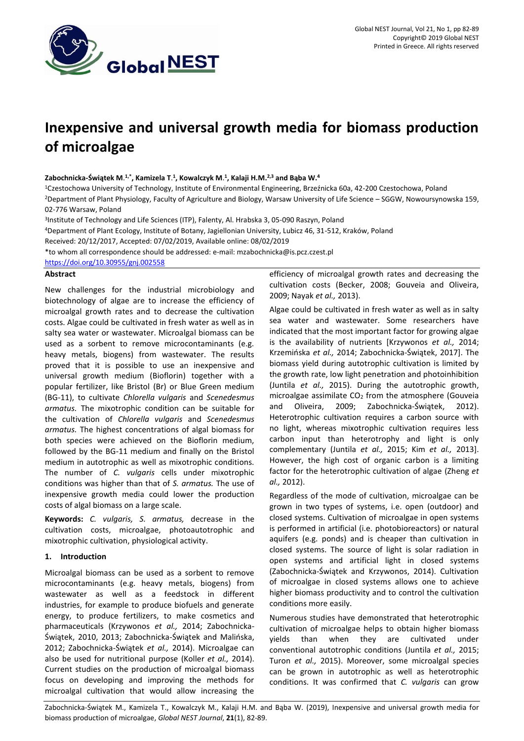

# **Inexpensive and universal growth media for biomass production of microalgae**

### **Zabochnicka-Świątek M**. **1,\* , Kamizela T**. **1 , Kowalczyk M**. **1 , Kalaji H.M.2,3 and Bąba W.<sup>4</sup>**

<sup>1</sup>Czestochowa University of Technology, Institute of Environmental Engineering, Brzeźnicka 60a, 42-200 Czestochowa, Poland

<sup>2</sup>Department of Plant Physiology, Faculty of Agriculture and Biology, Warsaw University of Life Science – SGGW, Nowoursynowska 159, 02-776 Warsaw, Poland

3 Institute of Technology and Life Sciences (ITP), Falenty, Al. Hrabska 3, 05-090 Raszyn, Poland

<sup>4</sup>Department of Plant Ecology, Institute of Botany, Jagiellonian University, Lubicz 46, 31-512, Kraków, Poland

Received: 20/12/2017, Accepted: 07/02/2019, Available online: 08/02/2019

\*to whom all correspondence should be addressed: e-mail: mzabochnicka@is.pcz.czest.pl

<https://doi.org/10.30955/gnj.002558>

#### **Abstract**

New challenges for the industrial microbiology and biotechnology of algae are to increase the efficiency of microalgal growth rates and to decrease the cultivation costs. Algae could be cultivated in fresh water as well as in salty sea water or wastewater. Microalgal biomass can be used as a sorbent to remove microcontaminants (e.g. heavy metals, biogens) from wastewater. The results proved that it is possible to use an inexpensive and universal growth medium (Bioflorin) together with a popular fertilizer, like Bristol (Br) or Blue Green medium (BG-11), to cultivate *Chlorella vulgaris* and *Scenedesmus armatus.* The mixotrophic condition can be suitable for the cultivation of *Chlorella vulgaris* and *Scenedesmus armatus.* The highest concentrations of algal biomass for both species were achieved on the Bioflorin medium, followed by the BG-11 medium and finally on the Bristol medium in autotrophic as well as mixotrophic conditions. The number of *C. vulgaris* cells under mixotrophic conditions was higher than that of *S. armatus.* The use of inexpensive growth media could lower the production costs of algal biomass on a large scale.

**Keywords:** *C. vulgaris, S. armatus,* decrease in the cultivation costs, microalgae, photoautotrophic and mixotrophic cultivation, physiological activity.

### **1. Introduction**

Microalgal biomass can be used as a sorbent to remove microcontaminants (e.g. heavy metals, biogens) from wastewater as well as a feedstock in different industries, for example to produce biofuels and generate energy, to produce fertilizers, to make cosmetics and pharmaceuticals (Krzywonos *et al.,* 2014; Zabochnicka-Świątek, 2010, 2013; Zabochnicka-Świątek and Malińska, 2012; Zabochnicka-Świątek *et al.,* 2014). Microalgae can also be used for nutritional purpose (Koller *et al.,* 2014). Current studies on the production of microalgal biomass focus on developing and improving the methods for microalgal cultivation that would allow increasing the

efficiency of microalgal growth rates and decreasing the cultivation costs (Becker, 2008; Gouveia and Oliveira, 2009; Nayak *et al.,* 2013).

Algae could be cultivated in fresh water as well as in salty sea water and wastewater. Some researchers have indicated that the most important factor for growing algae is the availability of nutrients [Krzywonos *et al.,* 2014; Krzemińska *et al.,* 2014; Zabochnicka-Świątek, 2017]. The biomass yield during autotrophic cultivation is limited by the growth rate, low light penetration and photoinhibition (Juntila *et al.,* 2015). During the autotrophic growth, microalgae assimilate  $CO<sub>2</sub>$  from the atmosphere (Gouveia and Oliveira, 2009; Zabochnicka-Świątek, 2012). Heterotrophic cultivation requires a carbon source with no light, whereas mixotrophic cultivation requires less carbon input than heterotrophy and light is only complementary (Juntila *et al.,* 2015; Kim *et al.,* 2013]. However, the high cost of organic carbon is a limiting factor for the heterotrophic cultivation of algae (Zheng *et al.,* 2012).

Regardless of the mode of cultivation, microalgae can be grown in two types of systems, i.e. open (outdoor) and closed systems. Cultivation of microalgae in open systems is performed in artificial (i.e. photobioreactors) or natural aquifers (e.g. ponds) and is cheaper than cultivation in closed systems. The source of light is solar radiation in open systems and artificial light in closed systems (Zabochnicka-Świątek and Krzywonos, 2014). Cultivation of microalgae in closed systems allows one to achieve higher biomass productivity and to control the cultivation conditions more easily.

Numerous studies have demonstrated that heterotrophic cultivation of microalgae helps to obtain higher biomass yields than when they are cultivated under conventional autotrophic conditions (Juntila *et al.,* 2015; Turon *et al.,* 2015). Moreover, some microalgal species can be grown in autotrophic as well as heterotrophic conditions. It was confirmed that *C. vulgaris* can grow

Zabochnicka-Świątek M., Kamizela T., Kowalczyk M., Kalaji H.M. and Bąba W. (2019), Inexpensive and universal growth media for biomass production of microalgae, *Global NEST Journal*, **21**(1), 82-89.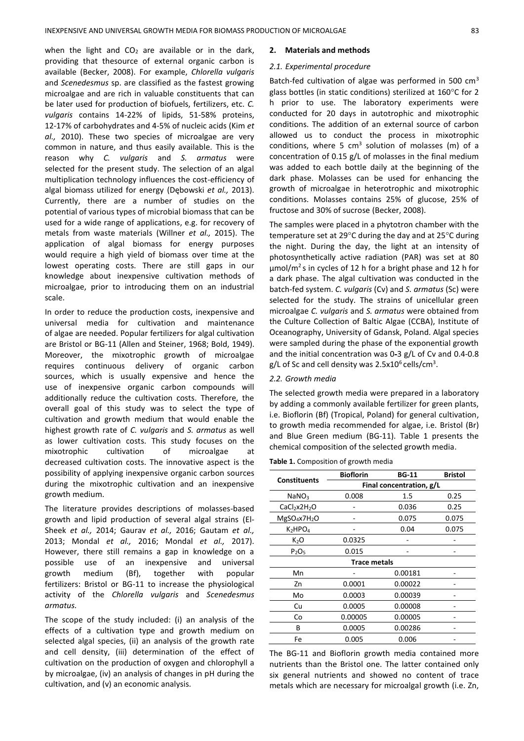when the light and  $CO<sub>2</sub>$  are available or in the dark, providing that thesource of external organic carbon is available (Becker, 2008). For example, *Chlorella vulgaris* and *Scenedesmus* sp. are classified as the fastest growing microalgae and are rich in valuable constituents that can be later used for production of biofuels, fertilizers, etc. *C. vulgaris* contains 14-22% of lipids, 51-58% proteins, 12-17% of carbohydrates and 4-5% of nucleic acids (Kim *et al.,* 2010). These two species of microalgae are very common in nature, and thus easily available. This is the reason why *C. vulgaris* and *S. armatus* were selected for the present study. The selection of an algal multiplication technology influences the cost-efficiency of algal biomass utilized for energy (Dębowski *et al.,* 2013). Currently, there are a number of studies on the potential of various types of microbial biomass that can be used for a wide range of applications, e.g. for recovery of metals from waste materials (Willner *et al.,* 2015). The application of algal biomass for energy purposes would require a high yield of biomass over time at the lowest operating costs. There are still gaps in our knowledge about inexpensive cultivation methods of microalgae, prior to introducing them on an industrial scale.

In order to reduce the production costs, inexpensive and universal media for cultivation and maintenance of algae are needed. Popular fertilizers for algal cultivation are Bristol or BG-11 (Allen and Steiner, 1968; Bold, 1949). Moreover, the mixotrophic growth of microalgae requires continuous delivery of organic carbon sources, which is usually expensive and hence the use of inexpensive organic carbon compounds will additionally reduce the cultivation costs. Therefore, the overall goal of this study was to select the type of cultivation and growth medium that would enable the highest growth rate of *C. vulgaris* and *S. armatus* as well as lower cultivation costs. This study focuses on the mixotrophic cultivation of microalgae at decreased cultivation costs. The innovative aspect is the possibility of applying inexpensive organic carbon sources during the mixotrophic cultivation and an inexpensive growth medium.

The literature provides descriptions of molasses-based growth and lipid production of several algal strains (El-Sheek *et al.,* 2014; Gaurav *et al.,* 2016; Gautam *et al.,* 2013; Mondal *et al.,* 2016; Mondal *et al.,* 2017). However, there still remains a gap in knowledge on a possible use of an inexpensive and universal growth medium (Bf), together with popular fertilizers: Bristol or BG-11 to increase the physiological activity of the *Chlorella vulgaris* and *Scenedesmus armatus.*

The scope of the study included: (i) an analysis of the effects of a cultivation type and growth medium on selected algal species, (ii) an analysis of the growth rate and cell density, (iii) determination of the effect of cultivation on the production of oxygen and chlorophyll a by microalgae, (iv) an analysis of changes in pH during the cultivation, and (v) an economic analysis.

#### **2. Materials and methods**

#### *2.1. Experimental procedure*

Batch-fed cultivation of algae was performed in 500 cm<sup>3</sup> glass bottles (in static conditions) sterilized at  $160^{\circ}$ C for 2 h prior to use. The laboratory experiments were conducted for 20 days in autotrophic and mixotrophic conditions. The addition of an external source of carbon allowed us to conduct the process in mixotrophic conditions, where 5  $cm<sup>3</sup>$  solution of molasses (m) of a concentration of 0.15 g/L of molasses in the final medium was added to each bottle daily at the beginning of the dark phase. Molasses can be used for enhancing the growth of microalgae in heterotrophic and mixotrophic conditions. Molasses contains 25% of glucose, 25% of fructose and 30% of sucrose (Becker, 2008).

The samples were placed in a phytotron chamber with the temperature set at 29°C during the day and at 25°C during the night. During the day, the light at an intensity of photosynthetically active radiation (PAR) was set at 80  $\mu$ mol/m<sup>2</sup>s in cycles of 12 h for a bright phase and 12 h for a dark phase. The algal cultivation was conducted in the batch-fed system. *C. vulgaris* (Cv) and *S. armatus* (Sc) were selected for the study. The strains of unicellular green microalgae *C. vulgaris* and *S. armatus* were obtained from the Culture Collection of Baltic Algae (CCBA), Institute of Oceanography, University of Gdansk, Poland. Algal species were sampled during the phase of the exponential growth and the initial concentration was 0-3 g/L of Cv and 0.4-0.8 g/L of Sc and cell density was  $2.5x10^6$  cells/cm<sup>3</sup>.

#### *2.2. Growth media*

The selected growth media were prepared in a laboratory by adding a commonly available fertilizer for green plants, i.e. Bioflorin (Bf) (Tropical, Poland) for general cultivation, to growth media recommended for algae, i.e. Bristol (Br) and Blue Green medium (BG-11). Table 1 presents the chemical composition of the selected growth media.

#### **Table 1.** Composition of growth media

| <b>Constituents</b>                  | <b>Bioflorin</b>         | <b>BG-11</b> | <b>Bristol</b> |  |  |  |
|--------------------------------------|--------------------------|--------------|----------------|--|--|--|
|                                      | Final concentration, g/L |              |                |  |  |  |
| NaNO3                                | 0.008                    | 1.5          | 0.25           |  |  |  |
| CaCl <sub>2</sub> x2H <sub>2</sub> O |                          | 0.036        | 0.25           |  |  |  |
| $MgSO_4x7H_2O$                       |                          | 0.075        | 0.075          |  |  |  |
| $K_2HPO_4$                           |                          | 0.04         | 0.075          |  |  |  |
| $K_2O$                               | 0.0325                   |              |                |  |  |  |
| P <sub>2</sub> O <sub>5</sub>        | 0.015                    |              |                |  |  |  |
| <b>Trace metals</b>                  |                          |              |                |  |  |  |
| Mn                                   |                          | 0.00181      |                |  |  |  |
| Zn                                   | 0.0001                   | 0.00022      |                |  |  |  |
| Mo                                   | 0.0003                   | 0.00039      |                |  |  |  |
| Cu                                   | 0.0005                   | 0.00008      |                |  |  |  |
| Co                                   | 0.00005                  | 0.00005      |                |  |  |  |
| в                                    | 0.0005                   | 0.00286      |                |  |  |  |
| Fe                                   | 0.005                    | 0.006        |                |  |  |  |

The BG-11 and Bioflorin growth media contained more nutrients than the Bristol one. The latter contained only six general nutrients and showed no content of trace metals which are necessary for microalgal growth (i.e. Zn,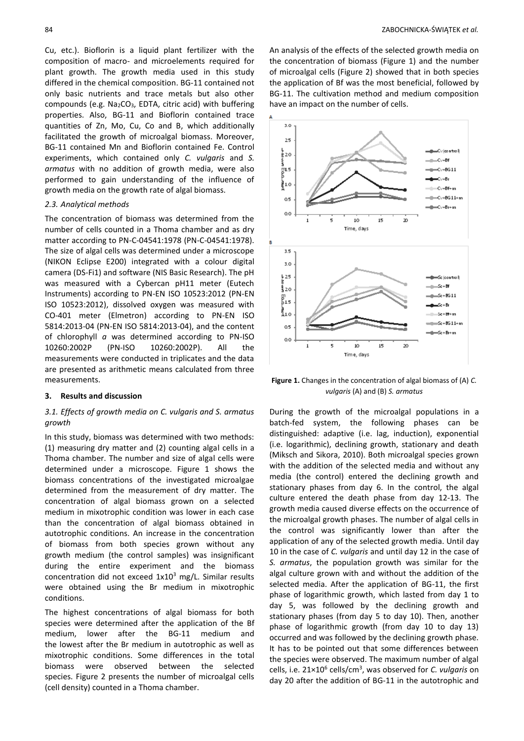Cu, etc.). Bioflorin is a liquid plant fertilizer with the composition of macro- and microelements required for plant growth. The growth media used in this study differed in the chemical composition. BG-11 contained not only basic nutrients and trace metals but also other compounds (e.g. Na2CO3, EDTA, citric acid) with buffering properties. Also, BG-11 and Bioflorin contained trace quantities of Zn, Mo, Cu, Co and B, which additionally facilitated the growth of microalgal biomass. Moreover, BG-11 contained Mn and Bioflorin contained Fe. Control experiments, which contained only *C. vulgaris* and *S. armatus* with no addition of growth media, were also performed to gain understanding of the influence of growth media on the growth rate of algal biomass.

#### *2.3. Analytical methods*

The concentration of biomass was determined from the number of cells counted in a Thoma chamber and as dry matter according to PN-C-04541:1978 (PN-C-04541:1978). The size of algal cells was determined under a microscope (NIKON Eclipse E200) integrated with a colour digital camera (DS-Fi1) and software (NIS Basic Research). The pH was measured with a Cybercan pH11 meter (Eutech Instruments) according to PN-EN ISO 10523:2012 (PN-EN ISO 10523:2012), dissolved oxygen was measured with CO-401 meter (Elmetron) according to PN-EN ISO 5814:2013-04 (PN-EN ISO 5814:2013-04), and the content of chlorophyll *a* was determined according to PN-ISO 10260:2002P (PN-ISO 10260:2002P). All the measurements were conducted in triplicates and the data are presented as arithmetic means calculated from three measurements.

#### **3. Results and discussion**

## *3.1. Effects of growth media on C. vulgaris and S. armatus growth*

In this study, biomass was determined with two methods: (1) measuring dry matter and (2) counting algal cells in a Thoma chamber. The number and size of algal cells were determined under a microscope. Figure 1 shows the biomass concentrations of the investigated microalgae determined from the measurement of dry matter. The concentration of algal biomass grown on a selected medium in mixotrophic condition was lower in each case than the concentration of algal biomass obtained in autotrophic conditions. An increase in the concentration of biomass from both species grown without any growth medium (the control samples) was insignificant during the entire experiment and the biomass concentration did not exceed  $1x10^3$  mg/L. Similar results were obtained using the Br medium in mixotrophic conditions.

The highest concentrations of algal biomass for both species were determined after the application of the Bf medium, lower after the BG-11 medium and the lowest after the Br medium in autotrophic as well as mixotrophic conditions. Some differences in the total biomass were observed between the selected species. Figure 2 presents the number of microalgal cells (cell density) counted in a Thoma chamber.

An analysis of the effects of the selected growth media on the concentration of biomass (Figure 1) and the number of microalgal cells (Figure 2) showed that in both species the application of Bf was the most beneficial, followed by BG-11. The cultivation method and medium composition have an impact on the number of cells.



**Figure 1.** Changes in the concentration of algal biomass of (A) *C. vulgaris* (A) and (B) *S. armatus*

During the growth of the microalgal populations in a batch-fed system, the following phases can be distinguished: adaptive (i.e. lag, induction), exponential (i.e. logarithmic), declining growth, stationary and death (Miksch and Sikora, 2010). Both microalgal species grown with the addition of the selected media and without any media (the control) entered the declining growth and stationary phases from day 6. In the control, the algal culture entered the death phase from day 12-13. The growth media caused diverse effects on the occurrence of the microalgal growth phases. The number of algal cells in the control was significantly lower than after the application of any of the selected growth media. Until day 10 in the case of *C. vulgaris* and until day 12 in the case of *S. armatus*, the population growth was similar for the algal culture grown with and without the addition of the selected media. After the application of BG-11, the first phase of logarithmic growth, which lasted from day 1 to day 5, was followed by the declining growth and stationary phases (from day 5 to day 10). Then, another phase of logarithmic growth (from day 10 to day 13) occurred and was followed by the declining growth phase. It has to be pointed out that some differences between the species were observed. The maximum number of algal cells, i.e. 21×10<sup>6</sup> cells/cm<sup>3</sup>, was observed for *C. vulgaris* on day 20 after the addition of BG-11 in the autotrophic and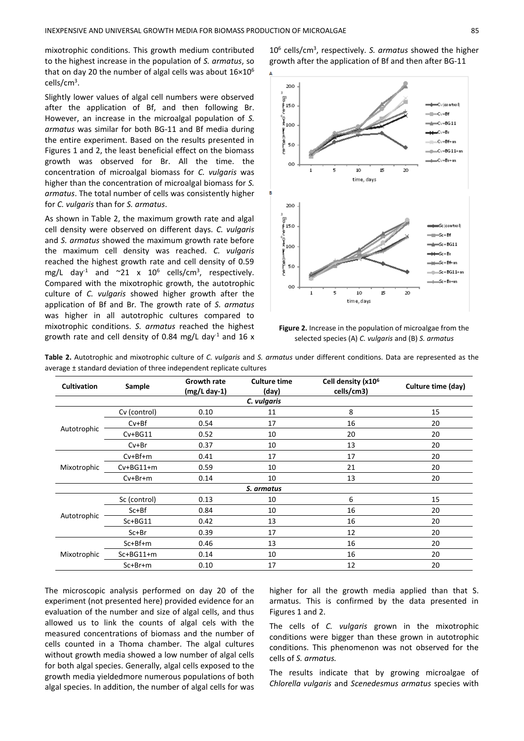mixotrophic conditions. This growth medium contributed to the highest increase in the population of *S. armatus*, so that on day 20 the number of algal cells was about  $16\times10^6$ cells/cm<sup>3</sup>.

Slightly lower values of algal cell numbers were observed after the application of Bf, and then following Br. However, an increase in the microalgal population of *S. armatus* was similar for both BG-11 and Bf media during the entire experiment. Based on the results presented in Figures 1 and 2, the least beneficial effect on the biomass growth was observed for Br. All the time. the concentration of microalgal biomass for *C. vulgaris* was higher than the concentration of microalgal biomass for *S. armatus*. The total number of cells was consistently higher for *C. vulgaris* than for *S. armatus*.

As shown in Table 2, the maximum growth rate and algal cell density were observed on different days. *C. vulgaris* and *S. armatus* showed the maximum growth rate before the maximum cell density was reached. *C. vulgaris* reached the highest growth rate and cell density of 0.59 mg/L day<sup>-1</sup> and  $\sim$ 21 x 10<sup>6</sup> cells/cm<sup>3</sup>, respectively. Compared with the mixotrophic growth, the autotrophic culture of *C. vulgaris* showed higher growth after the application of Bf and Br*.* The growth rate of *S. armatus* was higher in all autotrophic cultures compared to mixotrophic conditions. *S. armatus* reached the highest growth rate and cell density of 0.84 mg/L day<sup>-1</sup> and 16 x

10<sup>6</sup> cells/cm<sup>3</sup> , respectively. *S. armatus* showed the higher growth after the application of Bf and then after BG-11



**Figure 2.** Increase in the population of microalgae from the selected species (A) *C. vulgaris* and (B) *S. armatus*

**Table 2.** Autotrophic and mixotrophic culture of *C. vulgaris* and *S. armatus* under different conditions. Data are represented as the average ± standard deviation of three independent replicate cultures

| <b>Cultivation</b> | Sample          | <b>Growth rate</b><br>$(mg/L day-1)$ | <b>Culture time</b><br>(day) | Cell density (x10 <sup>6</sup><br>cells/cm3) | Culture time (day) |  |  |  |
|--------------------|-----------------|--------------------------------------|------------------------------|----------------------------------------------|--------------------|--|--|--|
| C. vulgaris        |                 |                                      |                              |                                              |                    |  |  |  |
| Autotrophic        | Cv (control)    | 0.10                                 | 11                           | 8                                            | 15                 |  |  |  |
|                    | $Cv + Bf$       | 0.54                                 | 17                           | 16                                           | 20                 |  |  |  |
|                    | $Cv + BG11$     | 0.52                                 | 10                           | 20                                           | 20                 |  |  |  |
|                    | $Cv + Br$       | 0.37                                 | 10                           | 13                                           | 20                 |  |  |  |
| Mixotrophic        | $Cv + Bf + m$   | 0.41                                 | 17                           | 17                                           | 20                 |  |  |  |
|                    | $Cv + BG11 + m$ | 0.59                                 | 10                           | 21                                           | 20                 |  |  |  |
|                    | $Cv + Br + m$   | 0.14                                 | 10                           | 13                                           | 20                 |  |  |  |
| S. armatus         |                 |                                      |                              |                                              |                    |  |  |  |
| Autotrophic        | Sc (control)    | 0.13                                 | 10                           | 6                                            | 15                 |  |  |  |
|                    | $Sc + Bf$       | 0.84                                 | 10                           | 16                                           | 20                 |  |  |  |
|                    | $Sc+BG11$       | 0.42                                 | 13                           | 16                                           | 20                 |  |  |  |
|                    | $Sc + Br$       | 0.39                                 | 17                           | 12                                           | 20                 |  |  |  |
| Mixotrophic        | $Sc + Bf + m$   | 0.46                                 | 13                           | 16                                           | 20                 |  |  |  |
|                    | $Sc+BG11+m$     | 0.14                                 | 10                           | 16                                           | 20                 |  |  |  |
|                    | $Sc + Br + m$   | 0.10                                 | 17                           | 12                                           | 20                 |  |  |  |

The microscopic analysis performed on day 20 of the experiment (not presented here) provided evidence for an evaluation of the number and size of algal cells, and thus allowed us to link the counts of algal cels with the measured concentrations of biomass and the number of cells counted in a Thoma chamber. The algal cultures without growth media showed a low number of algal cells for both algal species. Generally, algal cells exposed to the growth media yieldedmore numerous populations of both algal species. In addition, the number of algal cells for was higher for all the growth media applied than that S. armatus. This is confirmed by the data presented in Figures 1 and 2.

The cells of *C. vulgaris* grown in the mixotrophic conditions were bigger than these grown in autotrophic conditions. This phenomenon was not observed for the cells of *S. armatus.*

The results indicate that by growing microalgae of *Chlorella vulgaris* and *Scenedesmus armatus* species with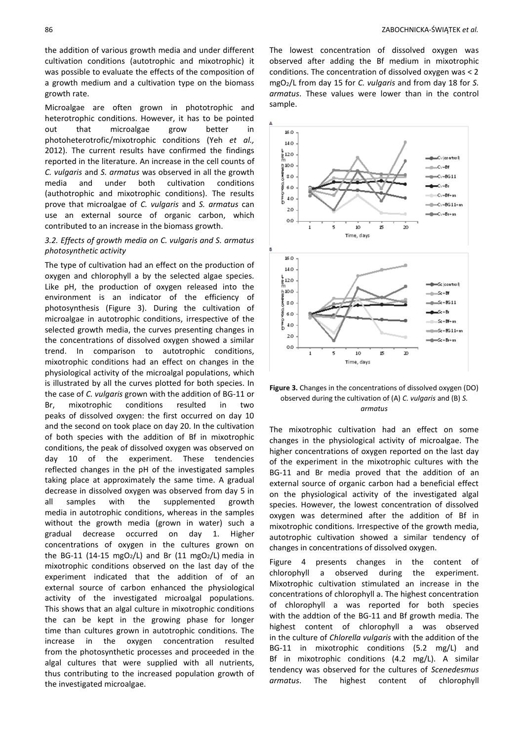the addition of various growth media and under different cultivation conditions (autotrophic and mixotrophic) it was possible to evaluate the effects of the composition of a growth medium and a cultivation type on the biomass growth rate.

Microalgae are often grown in phototrophic and heterotrophic conditions. However, it has to be pointed out that microalgae grow better in photoheterotrofic/mixotrophic conditions (Yeh *et al.,* 2012). The current results have confirmed the findings reported in the literature. An increase in the cell counts of *C. vulgaris* and *S. armatus* was observed in all the growth media and under both cultivation conditions (authotrophic and mixotrophic conditions). The results prove that microalgae of *C. vulgaris* and *S. armatus* can use an external source of organic carbon, which contributed to an increase in the biomass growth.

## *3.2. Effects of growth media on C. vulgaris and S. armatus photosynthetic activity*

The type of cultivation had an effect on the production of oxygen and chlorophyll a by the selected algae species. Like pH, the production of oxygen released into the environment is an indicator of the efficiency of photosynthesis (Figure 3). During the cultivation of microalgae in autotrophic conditions, irrespective of the selected growth media, the curves presenting changes in the concentrations of dissolved oxygen showed a similar trend. In comparison to autotrophic conditions, mixotrophic conditions had an effect on changes in the physiological activity of the microalgal populations, which is illustrated by all the curves plotted for both species. In the case of *C. vulgaris* grown with the addition of BG-11 or Br, mixotrophic conditions resulted in two peaks of dissolved oxygen: the first occurred on day 10 and the second on took place on day 20. In the cultivation of both species with the addition of Bf in mixotrophic conditions, the peak of dissolved oxygen was observed on day 10 of the experiment. These tendencies reflected changes in the pH of the investigated samples taking place at approximately the same time. A gradual decrease in dissolved oxygen was observed from day 5 in all samples with the supplemented growth media in autotrophic conditions, whereas in the samples without the growth media (grown in water) such a gradual decrease occurred on day 1. Higher concentrations of oxygen in the cultures grown on the BG-11 (14-15 mgO<sub>2</sub>/L) and Br (11 mgO<sub>2</sub>/L) media in mixotrophic conditions observed on the last day of the experiment indicated that the addition of of an external source of carbon enhanced the physiological activity of the investigated microalgal populations. This shows that an algal culture in mixotrophic conditions the can be kept in the growing phase for longer time than cultures grown in autotrophic conditions. The increase in the oxygen concentration resulted from the photosynthetic processes and proceeded in the algal cultures that were supplied with all nutrients, thus contributing to the increased population growth of the investigated microalgae.

The lowest concentration of dissolved oxygen was observed after adding the Bf medium in mixotrophic conditions. The concentration of dissolved oxygen was < 2 mgO2/L from day 15 for *C. vulgaris* and from day 18 for *S. armatus*. These values were lower than in the control sample.



### **Figure 3.** Changes in the concentrations of dissolved oxygen (DO) observed during the cultivation of (A) *C. vulgaris* and (B) *S. armatus*

The mixotrophic cultivation had an effect on some changes in the physiological activity of microalgae. The higher concentrations of oxygen reported on the last day of the experiment in the mixotrophic cultures with the BG-11 and Br media proved that the addition of an external source of organic carbon had a beneficial effect on the physiological activity of the investigated algal species. However, the lowest concentration of dissolved oxygen was determined after the addition of Bf in mixotrophic conditions. Irrespective of the growth media, autotrophic cultivation showed a similar tendency of changes in concentrations of dissolved oxygen.

Figure 4 presents changes in the content of chlorophyll a observed during the experiment. Mixotrophic cultivation stimulated an increase in the concentrations of chlorophyll a. The highest concentration of chlorophyll a was reported for both species with the addtion of the BG-11 and Bf growth media. The highest content of chlorophyll a was observed in the culture of *Chlorella vulgaris* with the addition of the BG-11 in mixotrophic conditions (5.2 mg/L) and Bf in mixotrophic conditions (4.2 mg/L). A similar tendency was observed for the cultures of *Scenedesmus armatus*. The highest content of chlorophyll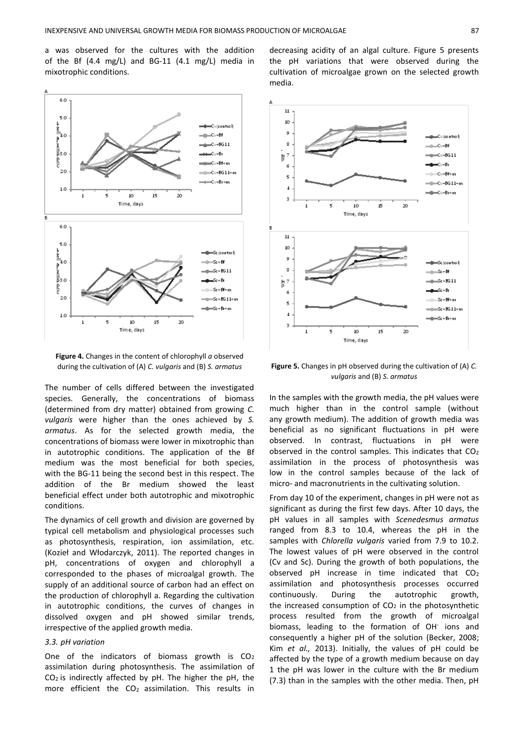a was observed for the cultures with the addition of the Bf (4.4 mg/L) and BG-11 (4.1 mg/L) media in mixotrophic conditions.



**Figure 4.** Changes in the content of chlorophyll *a* observed during the cultivation of (A) *C. vulgaris* and (B) *S. armatus*

The number of cells differed between the investigated species. Generally, the concentrations of biomass (determined from dry matter) obtained from growing *C. vulgaris* were higher than the ones achieved by *S. armatus*. As for the selected growth media, the concentrations of biomass were lower in mixotrophic than in autotrophic conditions. The application of the Bf medium was the most beneficial for both species, with the BG-11 being the second best in this respect. The addition of the Br medium showed the least beneficial effect under both autotrophic and mixotrophic conditions.

The dynamics of cell growth and division are governed by typical cell metabolism and physiological processes such as photosynthesis, respiration, ion assimilation, etc. (Kozieł and Włodarczyk, 2011). The reported changes in pH, concentrations of oxygen and chlorophyll a corresponded to the phases of microalgal growth. The supply of an additional source of carbon had an effect on the production of chlorophyll a. Regarding the cultivation in autotrophic conditions, the curves of changes in dissolved oxygen and pH showed similar trends, irrespective of the applied growth media.

#### *3.3. pH variation*

One of the indicators of biomass growth is CO<sup>2</sup> assimilation during photosynthesis. The assimilation of CO2 is indirectly affected by pH. The higher the pH, the more efficient the CO2 assimilation. This results in

decreasing acidity of an algal culture. Figure 5 presents the pH variations that were observed during the cultivation of microalgae grown on the selected growth media.



**Figure 5.** Changes in pH observed during the cultivation of (A) *C. vulgaris* and (B) *S. armatus*

In the samples with the growth media, the pH values were much higher than in the control sample (without any growth medium). The addition of growth media was beneficial as no significant fluctuations in pH were observed. In contrast, fluctuations in pH were observed in the control samples. This indicates that CO<sup>2</sup> assimilation in the process of photosynthesis was low in the control samples because of the lack of micro- and macronutrients in the cultivating solution.

From day 10 of the experiment, changes in pH were not as significant as during the first few days. After 10 days, the pH values in all samples with *Scenedesmus armatus* ranged from 8.3 to 10.4, whereas the pH in the samples with *Chlorella vulgaris* varied from 7.9 to 10.2. The lowest values of pH were observed in the control (Cv and Sc). During the growth of both populations, the observed pH increase in time indicated that CO<sup>2</sup> assimilation and photosynthesis processes occurred continuously. During the autotrophic growth, the increased consumption of  $CO<sub>2</sub>$  in the photosynthetic process resulted from the growth of microalgal biomass, leading to the formation of OH<sup>-</sup> ions and consequently a higher pH of the solution (Becker, 2008; Kim *et al.,* 2013). Initially, the values of pH could be affected by the type of a growth medium because on day 1 the pH was lower in the culture with the Br medium (7.3) than in the samples with the other media. Then, pH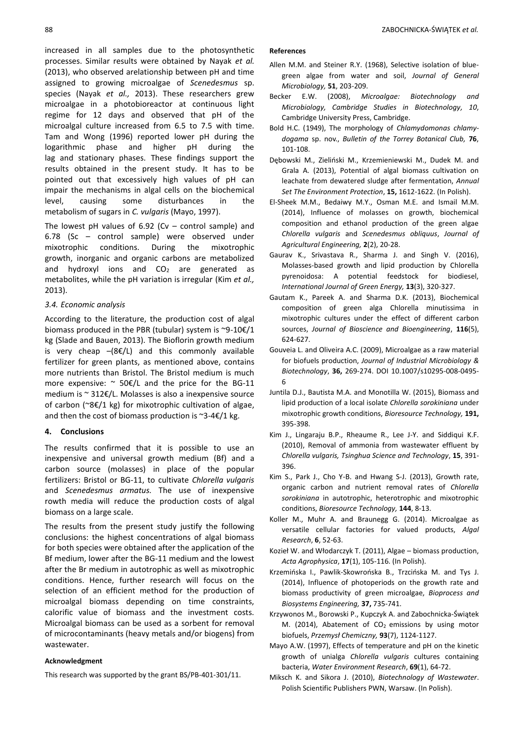increased in all samples due to the photosynthetic processes. Similar results were obtained by Nayak *et al.* (2013), who observed arelationship between pH and time assigned to growing microalgae of *Scenedesmus* sp. species (Nayak *et al.,* 2013). These researchers grew microalgae in a photobioreactor at continuous light regime for 12 days and observed that pH of the microalgal culture increased from 6.5 to 7.5 with time. Tam and Wong (1996) reported lower pH during the logarithmic phase and higher pH during the lag and stationary phases. These findings support the results obtained in the present study. It has to be pointed out that excessively high values of pH can impair the mechanisms in algal cells on the biochemical level, causing some disturbances in the metabolism of sugars in *C. vulgaris* (Mayo, 1997).

The lowest pH values of  $6.92$  (Cv – control sample) and 6.78 (Sc – control sample) were observed under mixotrophic conditions. During the mixotrophic growth, inorganic and organic carbons are metabolized and hydroxyl ions and  $CO<sub>2</sub>$  are generated as metabolites, while the pH variation is irregular (Kim *et al.,* 2013).

## *3.4. Economic analysis*

According to the literature, the production cost of algal biomass produced in the PBR (tubular) system is ~9-10€/1 kg (Slade and Bauen, 2013). The Bioflorin growth medium is very cheap  $-(8\xi/L)$  and this commonly available fertilizer for green plants, as mentioned above, contains more nutrients than Bristol. The Bristol medium is much more expensive:  $\sim$  50€/L and the price for the BG-11 medium is ~ 312€/L. Molasses is also a inexpensive source of carbon (~8€/1 kg) for mixotrophic cultivation of algae, and then the cost of biomass production is  $\approx$ 3-4€/1 kg.

## **4. Conclusions**

The results confirmed that it is possible to use an inexpensive and universal growth medium (Bf) and a carbon source (molasses) in place of the popular fertilizers: Bristol or BG-11, to cultivate *Chlorella vulgaris* and *Scenedesmus armatus.* The use of inexpensive rowth media will reduce the production costs of algal biomass on a large scale.

The results from the present study justify the following conclusions: the highest concentrations of algal biomass for both species were obtained after the application of the Bf medium, lower after the BG-11 medium and the lowest after the Br medium in autotrophic as well as mixotrophic conditions. Hence, further research will focus on the selection of an efficient method for the production of microalgal biomass depending on time constraints, calorific value of biomass and the investment costs. Microalgal biomass can be used as a sorbent for removal of microcontaminants (heavy metals and/or biogens) from wastewater.

### **Acknowledgment**

This research was supported by the grant BS/PB-401-301/11.

#### **References**

- Allen M.M. and Steiner R.Y. (1968), Selective isolation of bluegreen algae from water and soil, *Journal of General Microbiology,* **51**, 203-209.
- Becker E.W. (2008), *Microalgae: Biotechnology and Microbiology, Cambridge Studies in Biotechnology, 10*, Cambridge University Press, Cambridge.
- Bold H.C. (1949), The morphology of *Chlamydomonas chlamydogama* sp. nov., *Bulletin of the Torrey Botanical Club,* **76**, 101-108.
- Dębowski M., Zieliński M., Krzemieniewski M., Dudek M. and Grala A. (2013), Potential of algal biomass cultivation on leachate from dewatered sludge after fermentation, *Annual Set The Environment Protection*, **15,** 1612-1622. (In Polish).
- El-Sheek M.M., Bedaiwy M.Y., Osman M.E. and Ismail M.M. (2014), Influence of molasses on growth, biochemical composition and ethanol production of the green algae *Chlorella vulgaris* and *Scenedesmus obliquus*, *Journal of Agricultural Engineering,* **2**(2), 20-28.
- Gaurav K., Srivastava R., Sharma J. and Singh V. (2016), Molasses-based growth and lipid production by Chlorella pyrenoidosa: A potential feedstock for biodiesel, *International Journal of Green Energy,* **13**(3), 320-327.
- Gautam K., Pareek A. and Sharma D.K. (2013), Biochemical composition of green alga Chlorella minutissima in mixotrophic cultures under the effect of different carbon sources, *Journal of Bioscience and Bioengineering*, **116**(5), 624-627.
- Gouveia L. and Oliveira A.C. (2009), Microalgae as a raw material for biofuels production, *Journal of Industrial Microbiology & Biotechnology*, **36,** 269-274. DOI 10.1007/s10295-008-0495- 6
- Juntila D.J., Bautista M.A. and Monotilla W. (2015), Biomass and lipid production of a local isolate *Chlorella sorokiniana* under mixotrophic growth conditions, *Bioresource Technology,* **191,**  395-398.
- Kim J., Lingaraju B.P., Rheaume R., Lee J-Y. and Siddiqui K.F. (2010), Removal of ammonia from wastewater effluent by *Chlorella vulgaris, Tsinghua Science and Technology*, **15**, 391- 396.
- Kim S., Park J., Cho Y-B. and Hwang S-J. (2013), Growth rate, organic carbon and nutrient removal rates of *Chlorella sorokiniana* in autotrophic, heterotrophic and mixotrophic conditions, *Bioresource Technology,* **144**, 8-13.
- Koller M., Muhr A. and Braunegg G. (2014). Microalgae as versatile cellular factories for valued products, *Algal Research*, **6**, 52-63.
- Kozieł W. and Włodarczyk T. (2011), Algae biomass production, *Acta Agrophysica*, **17**(1), 105-116. (In Polish).
- Krzemińska I., Pawlik-Skowrońska B., Trzcińska M. and [Tys](http://www.ipan.lublin.pl/pl/profil-pracownika/44) J. (2014), Influence of photoperiods on the growth rate and biomass productivity of green microalgae, *Bioprocess and Biosystems Engineering,* **37,** 735-741.
- Krzywonos M., Borowski P., Kupczyk A. and Zabochnicka-Świątek M. (2014), Abatement of  $CO<sub>2</sub>$  emissions by using motor biofuels, *Przemysł Chemiczny,* **93**(7), 1124-1127.
- Mayo A.W. (1997), Effects of temperature and pH on the kinetic growth of unialga *Chlorella vulgaris* cultures containing bacteria, *Water Environment Research*, **69**(1), 64-72.
- Miksch K. and Sikora J. (2010), *Biotechnology of Wastewater*. Polish Scientific Publishers PWN, Warsaw. (In Polish).